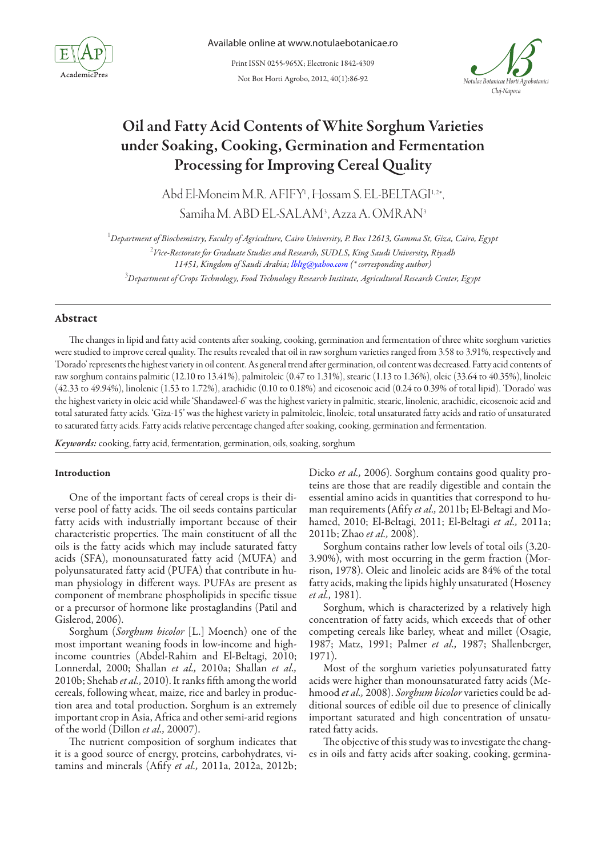

Not Bot Horti Agrobo, 2012, 40(1):86-92 Print ISSN 0255-965X; Electronic 1842-4309



# Oil and Fatty Acid Contents of White Sorghum Varieties under Soaking, Cooking, Germination and Fermentation Processing for Improving Cereal Quality

Abd El-Moneim M.R. AFIFY<sup>1</sup>, Hossam S. EL-BELTAGI<sup>1,2\*</sup>, Samiha M. ABD EL-SALAM3 , Azza A. OMRAN3

 *Department of Biochemistry, Faculty of Agriculture, Cairo University, P. Box 12613, Gamma St, Giza, Cairo, Egypt Vice-Rectorate for Graduate Studies and Research, SUDLS, King Saudi University, Riyadh 11451, Kingdom of Saudi Arabia; lbltg@yahoo.com (\* corresponding author) Department of Crops Technology, Food Technology Research Institute, Agricultural Research Center, Egypt*

## Abstract

The changes in lipid and fatty acid contents after soaking, cooking, germination and fermentation of three white sorghum varieties were studied to improve cereal quality. The results revealed that oil in raw sorghum varieties ranged from 3.58 to 3.91%, respectively and 'Dorado' represents the highest variety in oil content. As general trend after germination, oil content was decreased. Fatty acid contents of raw sorghum contains palmitic (12.10 to 13.41%), palmitoleic (0.47 to 1.31%), stearic (1.13 to 1.36%), oleic (33.64 to 40.35%), linoleic (42.33 to 49.94%), linolenic (1.53 to 1.72%), arachidic (0.10 to 0.18%) and eicosenoic acid (0.24 to 0.39% of total lipid). 'Dorado' was the highest variety in oleic acid while 'Shandaweel-6' was the highest variety in palmitic, stearic, linolenic, arachidic, eicosenoic acid and total saturated fatty acids. 'Giza-15' was the highest variety in palmitoleic, linoleic, total unsaturated fatty acids and ratio of unsaturated to saturated fatty acids. Fatty acids relative percentage changed after soaking, cooking, germination and fermentation.

*Keywords:* cooking, fatty acid, fermentation, germination, oils, soaking, sorghum

## Introduction

One of the important facts of cereal crops is their diverse pool of fatty acids. The oil seeds contains particular fatty acids with industrially important because of their characteristic properties. The main constituent of all the oils is the fatty acids which may include saturated fatty acids (SFA), monounsaturated fatty acid (MUFA) and polyunsaturated fatty acid (PUFA) that contribute in human physiology in different ways. PUFAs are present as component of membrane phospholipids in specific tissue or a precursor of hormone like prostaglandins (Patil and Gislerod, 2006).

Sorghum (*Sorghum bicolor* [L.] Moench) one of the most important weaning foods in low-income and highincome countries (Abdel-Rahim and El-Beltagi, 2010; Lonnerdal, 2000; Shallan *et al.,* 2010a; Shallan *et al.,* 2010b; Shehab *et al.,* 2010).It ranks fifth among the world cereals, following wheat, maize, rice and barley in production area and total production. Sorghum is an extremely important crop in Asia, Africa and other semi-arid regions of the world (Dillon *et al.,* 20007).

The nutrient composition of sorghum indicates that it is a good source of energy, proteins, carbohydrates, vitamins and minerals (Afify *et al.,* 2011a, 2012a, 2012b;

Dicko *et al.,* 2006). Sorghum contains good quality proteins are those that are readily digestible and contain the essential amino acids in quantities that correspond to human requirements (Afify *et al.,* 2011b; El-Beltagi and Mohamed, 2010; El-Beltagi, 2011; El-Beltagi *et al.,* 2011a; 2011b; Zhao *et al.,* 2008).

Sorghum contains rather low levels of total oils (3.20- 3.90%), with most occurring in the germ fraction (Morrison, 1978). Oleic and linoleic acids are 84% of the total fatty acids, making the lipids highly unsaturated (Hoseney *et al.,* 1981).

Sorghum, which is characterized by a relatively high concentration of fatty acids, which exceeds that of other competing cereals like barley, wheat and millet (Osagie, 1987; Matz, 1991; Palmer *et al.,* 1987; Shallenbcrger, 1971).

Most of the sorghum varieties polyunsaturated fatty acids were higher than monounsaturated fatty acids (Mehmood *et al.,* 2008). *Sorghum bicolor* varieties could be additional sources of edible oil due to presence of clinically important saturated and high concentration of unsaturated fatty acids.

The objective of this study was to investigate the changes in oils and fatty acids after soaking, cooking, germina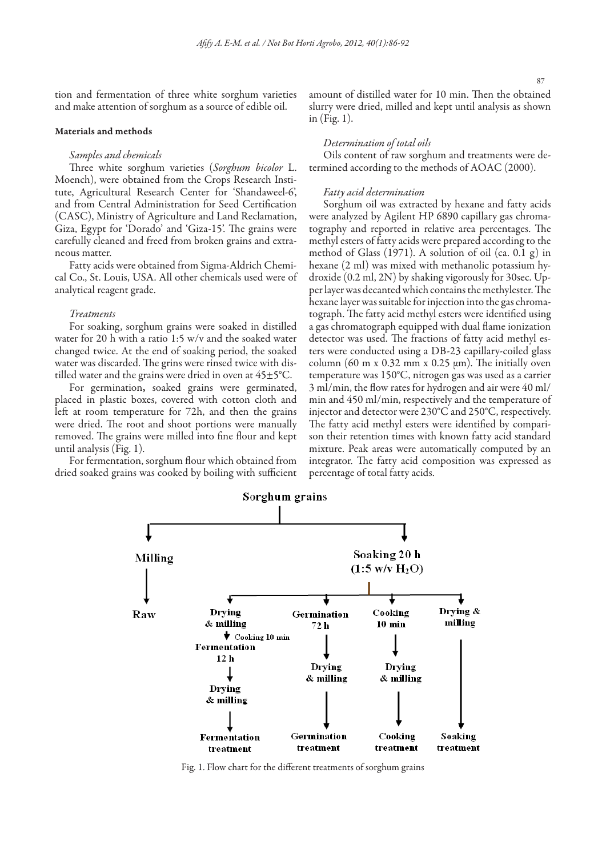tion and fermentation of three white sorghum varieties and make attention of sorghum as a source of edible oil.

## Materials and methods

#### *Samples and chemicals*

Three white sorghum varieties (*Sorghum bicolor* L. Moench), were obtained from the Crops Research Institute, Agricultural Research Center for 'Shandaweel-6', and from Central Administration for Seed Certification (CASC), Ministry of Agriculture and Land Reclamation, Giza, Egypt for 'Dorado' and 'Giza-15'. The grains were carefully cleaned and freed from broken grains and extraneous matter.

Fatty acids were obtained from Sigma-Aldrich Chemical Co., St. Louis, USA. All other chemicals used were of analytical reagent grade.

#### *Treatments*

For soaking, sorghum grains were soaked in distilled water for 20 h with a ratio 1:5 w/v and the soaked water changed twice. At the end of soaking period, the soaked water was discarded. The grins were rinsed twice with distilled water and the grains were dried in oven at 45±5°C.

For germination, soaked grains were germinated, placed in plastic boxes, covered with cotton cloth and left at room temperature for 72h, and then the grains were dried. The root and shoot portions were manually removed. The grains were milled into fine flour and kept until analysis (Fig. 1).

For fermentation, sorghum flour which obtained from dried soaked grains was cooked by boiling with sufficient amount of distilled water for 10 min. Then the obtained slurry were dried, milled and kept until analysis as shown in (Fig. 1).

## *Determination of total oils*

Oils content of raw sorghum and treatments were determined according to the methods of AOAC (2000).

## *Fatty acid determination*

Sorghum oil was extracted by hexane and fatty acids were analyzed by Agilent HP 6890 capillary gas chromatography and reported in relative area percentages. The methyl esters of fatty acids were prepared according to the method of Glass (1971). A solution of oil (ca. 0.1 g) in hexane (2 ml) was mixed with methanolic potassium hydroxide (0.2 ml, 2N) by shaking vigorously for 30sec. Upper layer was decanted which contains the methylester. The hexane layer was suitable for injection into the gas chromatograph. The fatty acid methyl esters were identified using a gas chromatograph equipped with dual flame ionization detector was used. The fractions of fatty acid methyl esters were conducted using a DB-23 capillary-coiled glass column (60 m x 0.32 mm x 0.25  $\mu$ m). The initially oven temperature was 150°C, nitrogen gas was used as a carrier 3 ml/min, the flow rates for hydrogen and air were 40 ml/ min and 450 ml/min, respectively and the temperature of injector and detector were 230°C and 250°C, respectively. The fatty acid methyl esters were identified by comparison their retention times with known fatty acid standard mixture. Peak areas were automatically computed by an integrator. The fatty acid composition was expressed as percentage of total fatty acids.



Fig. 1. Flow chart for the different treatments of sorghum grains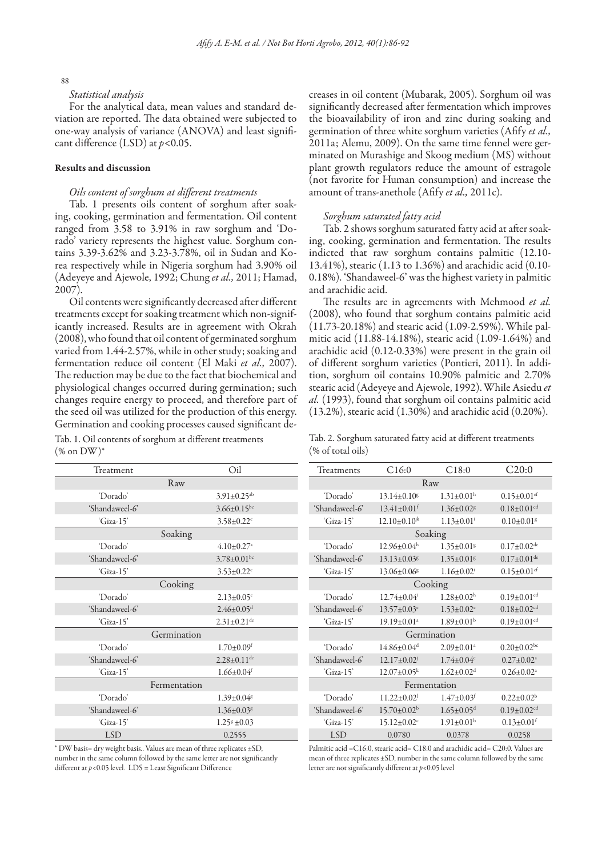#### 88

# *Statistical analysis*

For the analytical data, mean values and standard deviation are reported. The data obtained were subjected to one-way analysis of variance (ANOVA) and least significant difference (LSD) at *p*<0.05.

### Results and discussion

## *Oils content of sorghum at different treatments*

Tab. 1 presents oils content of sorghum after soaking, cooking, germination and fermentation. Oil content ranged from 3.58 to 3.91% in raw sorghum and 'Dorado' variety represents the highest value. Sorghum contains 3.39-3.62% and 3.23-3.78%, oil in Sudan and Korea respectively while in Nigeria sorghum had 3.90% oil (Adeyeye and Ajewole, 1992; Chung *et al.,* 2011; Hamad, 2007).

Oil contents were significantly decreased after different treatments except for soaking treatment which non-significantly increased. Results are in agreement with Okrah (2008), who found that oil content of germinated sorghum varied from 1.44-2.57%, while in other study; soaking and fermentation reduce oil content (El Maki *et al.,* 2007). The reduction may be due to the fact that biochemical and physiological changes occurred during germination; such changes require energy to proceed, and therefore part of the seed oil was utilized for the production of this energy. Germination and cooking processes caused significant de-

| Tab. 1. Oil contents of sorghum at different treatments |  |  |
|---------------------------------------------------------|--|--|
| $(\%$ on DW $)^*$                                       |  |  |

| Treatment      | Oil                           |  |  |
|----------------|-------------------------------|--|--|
|                | Raw                           |  |  |
| 'Dorado'       | $3.91 \pm 0.25$ <sup>ab</sup> |  |  |
| 'Shandaweel-6' | $3.66 \pm 0.15^{bc}$          |  |  |
| 'Giza-15'      | $3.58 \pm 0.22$ <sup>c</sup>  |  |  |
|                | Soaking                       |  |  |
| 'Dorado'       | $4.10 \pm 0.27$ <sup>a</sup>  |  |  |
| 'Shandaweel-6' | $3.78 \pm 0.01$ bc            |  |  |
| 'Giza-15'      | $3.53 \pm 0.22$ <sup>c</sup>  |  |  |
|                | Cooking                       |  |  |
| 'Dorado'       | $2.13 \pm 0.05$ <sup>e</sup>  |  |  |
| 'Shandaweel-6' | $2.46 \pm 0.05$ <sup>d</sup>  |  |  |
| 'Giza-15'      | $2.31 \pm 0.21$ <sup>de</sup> |  |  |
|                | Germination                   |  |  |
| 'Dorado'       | $1.70 \pm 0.09$ <sup>f</sup>  |  |  |
| 'Shandaweel-6' | $2.28 \pm 0.11$ <sup>de</sup> |  |  |
| 'Giza-15'      | $1.66 \pm 0.04$ <sup>f</sup>  |  |  |
| Fermentation   |                               |  |  |
| 'Dorado'       | $1.39 \pm 0.04$ <sup>g</sup>  |  |  |
| 'Shandaweel-6' | $1.36 \pm 0.03$ <sup>g</sup>  |  |  |
| 'Giza-15'      | $1.25^s \pm 0.03$             |  |  |
| <b>LSD</b>     | 0.2555                        |  |  |

\* DW basis= dry weight basis.. Values are mean of three replicates ±SD, number in the same column followed by the same letter are not significantly different at  $p$ <0.05 level. LDS = Least Significant Difference

creases in oil content (Mubarak, 2005). Sorghum oil was significantly decreased after fermentation which improves the bioavailability of iron and zinc during soaking and germination of three white sorghum varieties (Afify *et al.,* 2011a; Alemu, 2009). On the same time fennel were germinated on Murashige and Skoog medium (MS) without plant growth regulators reduce the amount of estragole (not favorite for Human consumption) and increase the amount of trans-anethole (Afify *et al.,* 2011c).

## *Sorghum saturated fatty acid*

Tab. 2 shows sorghum saturated fatty acid at after soaking, cooking, germination and fermentation. The results indicted that raw sorghum contains palmitic (12.10- 13.41%), stearic (1.13 to 1.36%) and arachidic acid (0.10- 0.18%). 'Shandaweel-6' was the highest variety in palmitic and arachidic acid.

The results are in agreements with Mehmood *et al.* (2008), who found that sorghum contains palmitic acid (11.73-20.18%) and stearic acid (1.09-2.59%). While palmitic acid (11.88-14.18%), stearic acid (1.09-1.64%) and arachidic acid (0.12-0.33%) were present in the grain oil of different sorghum varieties (Pontieri, 2011). In addition, sorghum oil contains 10.90% palmitic and 2.70% stearic acid (Adeyeye and Ajewole, 1992). While Asiedu *et al.* (1993), found that sorghum oil contains palmitic acid (13.2%), stearic acid (1.30%) and arachidic acid (0.20%).

Tab. 2. Sorghum saturated fatty acid at different treatments (% of total oils)

| C20:0<br>C16:0<br>C18:0<br>Treatments<br>Raw<br>$0.15 \pm 0.01$ <sup>ef</sup><br>'Dorado'<br>$13.14 \pm 0.10$ <sup>g</sup><br>$1.31 \pm 0.01$ <sup>h</sup><br>'Shandaweel-6'<br>$13.41 \pm 0.01$ <sup>f</sup><br>$1.36 \pm 0.02$ <sup>g</sup><br>$0.18 \pm 0.01$ <sup>cd</sup><br>$12.10\pm0.10^{jk}$<br>'Giza-15'<br>$1.13 + 0.01$ <sup>i</sup><br>$0.10 \pm 0.01$ <sup>g</sup><br>Soaking<br>'Dorado'<br>$12.96 \pm 0.04^h$<br>$1.35 \pm 0.01$ <sup>g</sup><br>$0.17 \pm 0.02$ <sup>de</sup><br>'Shandaweel-6'<br>$0.17 \pm 0.01$ <sup>de</sup><br>$13.13 \pm 0.03$ <sup>g</sup><br>$1.35 \pm 0.01$ g<br>$0.15 \pm 0.01$ <sup>ef</sup><br>'Giza-15'<br>$13.06 \pm 0.06$ <sup>g</sup><br>$1.16 \pm 0.02$ <sup>i</sup><br>Cooking<br>'Dorado'<br>$0.19 \pm 0.01$ <sup>cd</sup><br>$12.74 + 0.04$<br>$1.28 + 0.02h$<br>'Shandaweel-6'<br>$1.53 \pm 0.02$ <sup>e</sup><br>$0.18 \pm 0.02$ <sup>cd</sup><br>$13.57 \pm 0.03^e$<br>'Giza-15'<br>$1.89 \pm 0.01^b$<br>$0.19 \pm 0.01$ <sup>cd</sup><br>$19.19 \pm 0.01^{\circ}$<br>Germination<br>'Dorado'<br>$14.86 + 0.04d$<br>$0.20 \pm 0.02$ <sub>bc</sub><br>$2.09 \pm 0.01$ <sup>a</sup><br>'Shandaweel-6'<br>$1.74 \pm 0.04$ c<br>$12.17 \pm 0.02^{\circ}$<br>$0.27 \pm 0.02^{\text{a}}$<br>$12.07 \pm 0.05^k$<br>$1.62 + 0.02d$<br>'Giza-15'<br>$0.26 \pm 0.02^{\text{a}}$<br>Fermentation<br>'Dorado'<br>$11.22 \pm 0.02^1$<br>$0.22 \pm 0.02^b$<br>$1.47 \pm 0.03$ <sup>f</sup><br>'Shandaweel-6'<br>$15.70 \pm 0.02^b$<br>$1.65 \pm 0.05$ <sup>d</sup><br>$0.19 \pm 0.02$ <sup>cd</sup><br>$1.91 \pm 0.01^b$<br>$0.13 \pm 0.01$ <sup>f</sup><br>'Giza-15'<br>$15.12 \pm 0.02$ <sup>c</sup><br><b>LSD</b><br>0.0780<br>0.0378<br>0.0258 |  |  |  |  |
|----------------------------------------------------------------------------------------------------------------------------------------------------------------------------------------------------------------------------------------------------------------------------------------------------------------------------------------------------------------------------------------------------------------------------------------------------------------------------------------------------------------------------------------------------------------------------------------------------------------------------------------------------------------------------------------------------------------------------------------------------------------------------------------------------------------------------------------------------------------------------------------------------------------------------------------------------------------------------------------------------------------------------------------------------------------------------------------------------------------------------------------------------------------------------------------------------------------------------------------------------------------------------------------------------------------------------------------------------------------------------------------------------------------------------------------------------------------------------------------------------------------------------------------------------------------------------------------------------------------------------------------------------------------------------------------------|--|--|--|--|
|                                                                                                                                                                                                                                                                                                                                                                                                                                                                                                                                                                                                                                                                                                                                                                                                                                                                                                                                                                                                                                                                                                                                                                                                                                                                                                                                                                                                                                                                                                                                                                                                                                                                                              |  |  |  |  |
|                                                                                                                                                                                                                                                                                                                                                                                                                                                                                                                                                                                                                                                                                                                                                                                                                                                                                                                                                                                                                                                                                                                                                                                                                                                                                                                                                                                                                                                                                                                                                                                                                                                                                              |  |  |  |  |
|                                                                                                                                                                                                                                                                                                                                                                                                                                                                                                                                                                                                                                                                                                                                                                                                                                                                                                                                                                                                                                                                                                                                                                                                                                                                                                                                                                                                                                                                                                                                                                                                                                                                                              |  |  |  |  |
|                                                                                                                                                                                                                                                                                                                                                                                                                                                                                                                                                                                                                                                                                                                                                                                                                                                                                                                                                                                                                                                                                                                                                                                                                                                                                                                                                                                                                                                                                                                                                                                                                                                                                              |  |  |  |  |
|                                                                                                                                                                                                                                                                                                                                                                                                                                                                                                                                                                                                                                                                                                                                                                                                                                                                                                                                                                                                                                                                                                                                                                                                                                                                                                                                                                                                                                                                                                                                                                                                                                                                                              |  |  |  |  |
|                                                                                                                                                                                                                                                                                                                                                                                                                                                                                                                                                                                                                                                                                                                                                                                                                                                                                                                                                                                                                                                                                                                                                                                                                                                                                                                                                                                                                                                                                                                                                                                                                                                                                              |  |  |  |  |
|                                                                                                                                                                                                                                                                                                                                                                                                                                                                                                                                                                                                                                                                                                                                                                                                                                                                                                                                                                                                                                                                                                                                                                                                                                                                                                                                                                                                                                                                                                                                                                                                                                                                                              |  |  |  |  |
|                                                                                                                                                                                                                                                                                                                                                                                                                                                                                                                                                                                                                                                                                                                                                                                                                                                                                                                                                                                                                                                                                                                                                                                                                                                                                                                                                                                                                                                                                                                                                                                                                                                                                              |  |  |  |  |
|                                                                                                                                                                                                                                                                                                                                                                                                                                                                                                                                                                                                                                                                                                                                                                                                                                                                                                                                                                                                                                                                                                                                                                                                                                                                                                                                                                                                                                                                                                                                                                                                                                                                                              |  |  |  |  |
|                                                                                                                                                                                                                                                                                                                                                                                                                                                                                                                                                                                                                                                                                                                                                                                                                                                                                                                                                                                                                                                                                                                                                                                                                                                                                                                                                                                                                                                                                                                                                                                                                                                                                              |  |  |  |  |
|                                                                                                                                                                                                                                                                                                                                                                                                                                                                                                                                                                                                                                                                                                                                                                                                                                                                                                                                                                                                                                                                                                                                                                                                                                                                                                                                                                                                                                                                                                                                                                                                                                                                                              |  |  |  |  |
|                                                                                                                                                                                                                                                                                                                                                                                                                                                                                                                                                                                                                                                                                                                                                                                                                                                                                                                                                                                                                                                                                                                                                                                                                                                                                                                                                                                                                                                                                                                                                                                                                                                                                              |  |  |  |  |
|                                                                                                                                                                                                                                                                                                                                                                                                                                                                                                                                                                                                                                                                                                                                                                                                                                                                                                                                                                                                                                                                                                                                                                                                                                                                                                                                                                                                                                                                                                                                                                                                                                                                                              |  |  |  |  |
|                                                                                                                                                                                                                                                                                                                                                                                                                                                                                                                                                                                                                                                                                                                                                                                                                                                                                                                                                                                                                                                                                                                                                                                                                                                                                                                                                                                                                                                                                                                                                                                                                                                                                              |  |  |  |  |
|                                                                                                                                                                                                                                                                                                                                                                                                                                                                                                                                                                                                                                                                                                                                                                                                                                                                                                                                                                                                                                                                                                                                                                                                                                                                                                                                                                                                                                                                                                                                                                                                                                                                                              |  |  |  |  |
|                                                                                                                                                                                                                                                                                                                                                                                                                                                                                                                                                                                                                                                                                                                                                                                                                                                                                                                                                                                                                                                                                                                                                                                                                                                                                                                                                                                                                                                                                                                                                                                                                                                                                              |  |  |  |  |
|                                                                                                                                                                                                                                                                                                                                                                                                                                                                                                                                                                                                                                                                                                                                                                                                                                                                                                                                                                                                                                                                                                                                                                                                                                                                                                                                                                                                                                                                                                                                                                                                                                                                                              |  |  |  |  |
|                                                                                                                                                                                                                                                                                                                                                                                                                                                                                                                                                                                                                                                                                                                                                                                                                                                                                                                                                                                                                                                                                                                                                                                                                                                                                                                                                                                                                                                                                                                                                                                                                                                                                              |  |  |  |  |
|                                                                                                                                                                                                                                                                                                                                                                                                                                                                                                                                                                                                                                                                                                                                                                                                                                                                                                                                                                                                                                                                                                                                                                                                                                                                                                                                                                                                                                                                                                                                                                                                                                                                                              |  |  |  |  |
|                                                                                                                                                                                                                                                                                                                                                                                                                                                                                                                                                                                                                                                                                                                                                                                                                                                                                                                                                                                                                                                                                                                                                                                                                                                                                                                                                                                                                                                                                                                                                                                                                                                                                              |  |  |  |  |
|                                                                                                                                                                                                                                                                                                                                                                                                                                                                                                                                                                                                                                                                                                                                                                                                                                                                                                                                                                                                                                                                                                                                                                                                                                                                                                                                                                                                                                                                                                                                                                                                                                                                                              |  |  |  |  |
|                                                                                                                                                                                                                                                                                                                                                                                                                                                                                                                                                                                                                                                                                                                                                                                                                                                                                                                                                                                                                                                                                                                                                                                                                                                                                                                                                                                                                                                                                                                                                                                                                                                                                              |  |  |  |  |

Palmitic acid =C16:0, stearic acid= C18:0 and arachidic acid= C20:0. Values are mean of three replicates ±SD, number in the same column followed by the same letter are not significantly different at *p*<0.05 level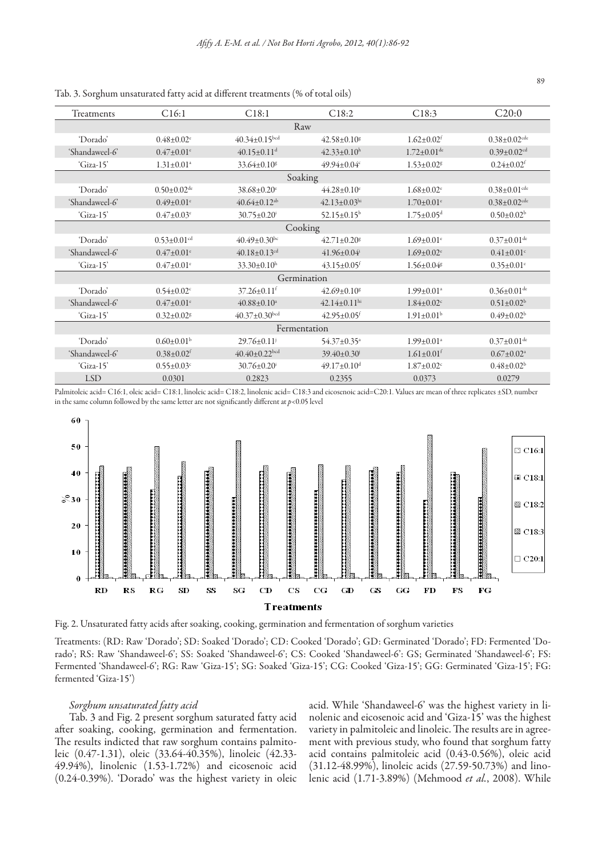| Treatments     | C16:1                         | C18:1                          | C18:2                          | C18:3                         | C20:0                          |
|----------------|-------------------------------|--------------------------------|--------------------------------|-------------------------------|--------------------------------|
|                |                               |                                | Raw                            |                               |                                |
| 'Dorado'       | $0.48 \pm 0.02$ <sup>e</sup>  | $40.34 \pm 0.15$ bcd           | $42.58 \pm 0.10$ <sup>g</sup>  | $1.62 \pm 0.02$ <sup>f</sup>  | $0.38 \pm 0.02$ <sup>cde</sup> |
| 'Shandaweel-6' | $0.47 \pm 0.01$ <sup>e</sup>  | $40.15 \pm 0.11$ <sup>d</sup>  | $42.33 \pm 0.10^h$             | $1.72 \pm 0.01$ <sup>de</sup> | $0.39 \pm 0.02$ <sup>cd</sup>  |
| 'Giza-15'      | $1.31 \pm 0.01^a$             | $33.64 \pm 0.10$ <sup>g</sup>  | $49.94 + 0.04$ c               | $1.53 \pm 0.02$ <sup>g</sup>  | $0.24 + 0.02$ <sup>f</sup>     |
|                |                               |                                | Soaking                        |                               |                                |
| 'Dorado'       | $0.50 + 0.02$ <sup>de</sup>   | $38.68 \pm 0.20$ <sup>e</sup>  | $44.28 + 0.10$ <sup>e</sup>    | $1.68 + 0.02$ <sup>e</sup>    | $0.38 \pm 0.01$ <sup>cde</sup> |
| 'Shandaweel-6' | $0.49 \pm 0.01$ <sup>e</sup>  | $40.64 \pm 0.12$ <sup>ab</sup> | $42.13 \pm 0.03$ hi            | $1.70 \pm 0.01$ <sup>e</sup>  | $0.38 \pm 0.02$ <sup>cde</sup> |
| 'Giza-15'      | $0.47 \pm 0.03$ <sup>e</sup>  | $30.75 \pm 0.20$ <sup>i</sup>  | 52.15 $\pm$ 0.15 <sup>b</sup>  | $1.75 \pm 0.05$ <sup>d</sup>  | $0.50 \pm 0.02^b$              |
|                |                               |                                | Cooking                        |                               |                                |
| 'Dorado'       | $0.53 \pm 0.01$ <sup>cd</sup> | $40.49 \pm 0.30$ bc            | $42.71 \pm 0.20$ <sup>g</sup>  | $1.69 \pm 0.01$ <sup>e</sup>  | $0.37 \pm 0.01$ <sup>de</sup>  |
| 'Shandaweel-6' | $0.47+0.01^{\circ}$           | $40.18 \pm 0.13$ <sup>cd</sup> | $41.96 \pm 0.04$               | $1.69 + 0.02$ <sup>e</sup>    | $0.41+0.01c$                   |
| 'Giza-15'      | $0.47 \pm 0.01$ <sup>e</sup>  | $33.30\pm0.10^{\rm h}$         | $43.15 \pm 0.05$ <sup>f</sup>  | $1.56 \pm 0.04$ <sup>g</sup>  | $0.35 \pm 0.01$ <sup>e</sup>   |
|                |                               |                                | Germination                    |                               |                                |
| 'Dorado'       | $0.54 \pm 0.02$ <sup>c</sup>  | $37.26 \pm 0.11$ <sup>f</sup>  | $42.69 + 0.10$ <sup>s</sup>    | $1.99 + 0.01$ <sup>a</sup>    | $0.36 \pm 0.01$ de             |
| 'Shandaweel-6' | $0.47+0.01^{\circ}$           | $40.88 + 0.10a$                | $42.14 \pm 0.11$ <sup>hi</sup> | $1.84 \pm 0.02$ <sup>c</sup>  | $0.51 + 0.02^b$                |
| 'Giza-15'      | $0.32 \pm 0.02$ <sup>g</sup>  | $40.37 \pm 0.30$ bcd           | $42.95 \pm 0.05$ <sup>f</sup>  | $1.91 \pm 0.01^b$             | $0.49 \pm 0.02^b$              |
| Fermentation   |                               |                                |                                |                               |                                |
| 'Dorado'       | $0.60 \pm 0.01^b$             | $29.76 \pm 0.11$ <sup>j</sup>  | $54.37 \pm 0.35$ <sup>a</sup>  | $1.99 \pm 0.01$ <sup>a</sup>  | $0.37 \pm 0.01$ <sup>de</sup>  |
| 'Shandaweel-6' | $0.38 \pm 0.02$ <sup>f</sup>  | $40.40 \pm 0.22$ bcd           | $39.40 \pm 0.30$               | $1.61 \pm 0.01$ <sup>f</sup>  | $0.67 \pm 0.02$ <sup>a</sup>   |
| 'Giza-15'      | $0.55 \pm 0.03$ <sup>c</sup>  | $30.76 \pm 0.20$ <sup>i</sup>  | $49.17 \pm 0.10$ <sup>d</sup>  | $1.87 \pm 0.02$ <sup>c</sup>  | $0.48 \pm 0.02^b$              |
| <b>LSD</b>     | 0.0301                        | 0.2823                         | 0.2355                         | 0.0373                        | 0.0279                         |

Tab. 3. Sorghum unsaturated fatty acid at different treatments (% of total oils)

Palmitoleic acid= C16:1, oleic acid= C18:1, linoleic acid= C18:2, linolenic acid= C18:3 and eicosenoic acid=C20:1. Values are mean of three replicates ±SD, number in the same column followed by the same letter are not significantly different at  $p$ <0.05 level



Fig. 2. Unsaturated fatty acids after soaking, cooking, germination and fermentation of sorghum varieties

Treatments: (RD: Raw 'Dorado'; SD: Soaked 'Dorado'; CD: Cooked 'Dorado'; GD: Germinated 'Dorado'; FD: Fermented 'Dorado'; RS: Raw 'Shandaweel-6'; SS: Soaked 'Shandaweel-6'; CS: Cooked 'Shandaweel-6': GS; Germinated 'Shandaweel-6'; FS: Fermented 'Shandaweel-6'; RG: Raw 'Giza-15'; SG: Soaked 'Giza-15'; CG: Cooked 'Giza-15'; GG: Germinated 'Giza-15'; FG: fermented 'Giza-15')

## *Sorghum unsaturated fatty acid*

Tab. 3 and Fig. 2 present sorghum saturated fatty acid after soaking, cooking, germination and fermentation. The results indicted that raw sorghum contains palmitoleic (0.47-1.31), oleic (33.64-40.35%), linoleic (42.33- 49.94%), linolenic (1.53-1.72%) and eicosenoic acid (0.24-0.39%). 'Dorado' was the highest variety in oleic

acid. While 'Shandaweel-6' was the highest variety in linolenic and eicosenoic acid and 'Giza-15' was the highest variety in palmitoleic and linoleic. The results are in agreement with previous study, who found that sorghum fatty acid contains palmitoleic acid (0.43-0.56%), oleic acid (31.12-48.99%), linoleic acids (27.59-50.73%) and linolenic acid (1.71-3.89%) (Mehmood *et al.*, 2008). While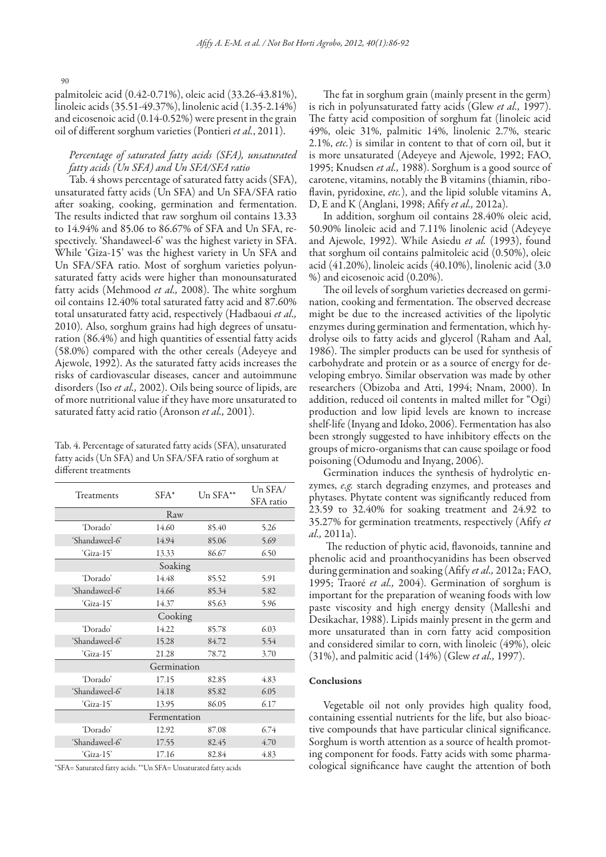$90$ 

palmitoleic acid (0.42-0.71%), oleic acid (33.26-43.81%), linoleic acids (35.51-49.37%), linolenic acid (1.35-2.14%) and eicosenoic acid (0.14-0.52%) were present in the grain oil of different sorghum varieties (Pontieri *et al.*, 2011).

# *Percentage of saturated fatty acids (SFA), unsaturated fatty acids (Un SFA) and Un SFA/SFA ratio*

Tab. 4 shows percentage of saturated fatty acids (SFA), unsaturated fatty acids (Un SFA) and Un SFA/SFA ratio after soaking, cooking, germination and fermentation. The results indicted that raw sorghum oil contains 13.33 to 14.94% and 85.06 to 86.67% of SFA and Un SFA, respectively. 'Shandaweel-6' was the highest variety in SFA. While 'Giza-15' was the highest variety in Un SFA and Un SFA/SFA ratio. Most of sorghum varieties polyunsaturated fatty acids were higher than monounsaturated fatty acids (Mehmood *et al.,* 2008). The white sorghum oil contains 12.40% total saturated fatty acid and 87.60% total unsaturated fatty acid, respectively (Hadbaoui *et al.,* 2010). Also, sorghum grains had high degrees of unsaturation (86.4%) and high quantities of essential fatty acids (58.0%) compared with the other cereals (Adeyeye and Ajewole, 1992). As the saturated fatty acids increases the risks of cardiovascular diseases, cancer and autoimmune disorders (Iso *et al.,* 2002). Oils being source of lipids, are of more nutritional value if they have more unsaturated to saturated fatty acid ratio (Aronson *et al.,* 2001).

Tab. 4. Percentage of saturated fatty acids (SFA), unsaturated fatty acids (Un SFA) and Un SFA/SFA ratio of sorghum at different treatments

|                | $SFA^*$ | Un $SFA**$ | Un SFA/   |
|----------------|---------|------------|-----------|
| Treatments     |         |            | SFA ratio |
|                | Raw     |            |           |
| 'Dorado'       | 14.60   | 85.40      | 5.26      |
| 'Shandaweel-6' | 14.94   | 85.06      | 5.69      |
| 'Giza-15'      | 13.33   | 86.67      | 6.50      |
|                | Soaking |            |           |
| 'Dorado'       | 14.48   | 85.52      | 5.91      |
| 'Shandaweel-6' | 14.66   | 85.34      | 5.82      |
| 'Giza-15'      | 14.37   | 85.63      | 5.96      |
|                | Cooking |            |           |
| 'Dorado'       | 14.22   | 85.78      | 6.03      |
| 'Shandaweel-6' | 15.28   | 84.72      | 5.54      |
| 'Giza-15'      | 21.28   | 78.72      | 3.70      |
| Germination    |         |            |           |
| 'Dorado'       | 17.15   | 82.85      | 4.83      |
| 'Shandaweel-6' | 14.18   | 85.82      | 6.05      |
| 'Giza-15'      | 13.95   | 86.05      | 6.17      |
| Fermentation   |         |            |           |
| 'Dorado'       | 12.92   | 87.08      | 6.74      |
| 'Shandaweel-6' | 17.55   | 82.45      | 4.70      |
| 'Giza-15'      | 17.16   | 82.84      | 4.83      |

\*SFA= Saturated fatty acids. \*\*Un SFA= Unsaturated fatty acids

The fat in sorghum grain (mainly present in the germ) is rich in polyunsaturated fatty acids (Glew *et al.,* 1997). The fatty acid composition of sorghum fat (linoleic acid 49%, oleic 31%, palmitic 14%, linolenic 2.7%, stearic 2.1%, *etc.*) is similar in content to that of corn oil, but it is more unsaturated (Adeyeye and Ajewole, 1992; FAO, 1995; Knudsen *et al.,* 1988). Sorghum is a good source of carotene, vitamins, notably the B vitamins (thiamin, riboflavin, pyridoxine, *etc.*), and the lipid soluble vitamins A, D, E and K (Anglani, 1998; Afify *et al.,* 2012a).

In addition, sorghum oil contains 28.40% oleic acid, 50.90% linoleic acid and 7.11% linolenic acid (Adeyeye and Ajewole, 1992). While Asiedu *et al.* (1993), found that sorghum oil contains palmitoleic acid (0.50%), oleic acid (41.20%), linoleic acids (40.10%), linolenic acid (3.0 %) and eicosenoic acid (0.20%).

The oil levels of sorghum varieties decreased on germination, cooking and fermentation. The observed decrease might be due to the increased activities of the lipolytic enzymes during germination and fermentation, which hydrolyse oils to fatty acids and glycerol (Raham and Aal, 1986). The simpler products can be used for synthesis of carbohydrate and protein or as a source of energy for developing embryo. Similar observation was made by other researchers (Obizoba and Atti, 1994; Nnam, 2000). In addition, reduced oil contents in malted millet for "Ogi) production and low lipid levels are known to increase shelf-life (Inyang and Idoko, 2006). Fermentation has also been strongly suggested to have inhibitory effects on the groups of micro-organisms that can cause spoilage or food poisoning (Odumodu and Inyang, 2006).

Germination induces the synthesis of hydrolytic enzymes, *e.g.* starch degrading enzymes, and proteases and phytases. Phytate content was significantly reduced from 23.59 to 32.40% for soaking treatment and 24.92 to 35.27% for germination treatments, respectively (Afify *et al.,* 2011a).

 The reduction of phytic acid, flavonoids, tannine and phenolic acid and proanthocyanidins has been observed during germination and soaking (Afify *et al.,* 2012a; FAO, 1995; Traoré *et al.,* 2004). Germination of sorghum is important for the preparation of weaning foods with low paste viscosity and high energy density (Malleshi and Desikachar, 1988). Lipids mainly present in the germ and more unsaturated than in corn fatty acid composition and considered similar to corn, with linoleic (49%), oleic (31%), and palmitic acid (14%) (Glew *et al.,* 1997).

## Conclusions

Vegetable oil not only provides high quality food, containing essential nutrients for the life, but also bioactive compounds that have particular clinical significance. Sorghum is worth attention as a source of health promoting component for foods. Fatty acids with some pharmacological significance have caught the attention of both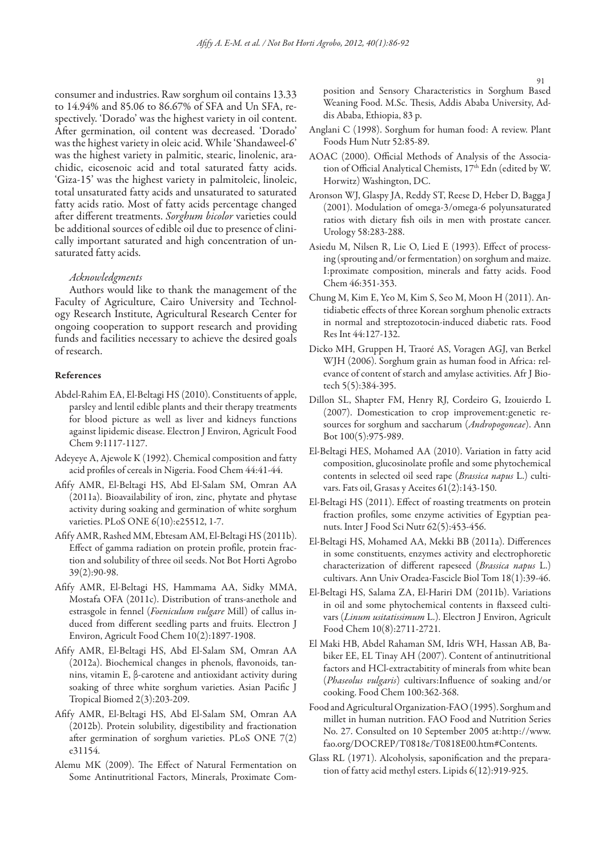consumer and industries. Raw sorghum oil contains 13.33 to 14.94% and 85.06 to 86.67% of SFA and Un SFA, respectively. 'Dorado' was the highest variety in oil content. After germination, oil content was decreased. 'Dorado' was the highest variety in oleic acid. While 'Shandaweel-6' was the highest variety in palmitic, stearic, linolenic, arachidic, eicosenoic acid and total saturated fatty acids. 'Giza-15' was the highest variety in palmitoleic, linoleic, total unsaturated fatty acids and unsaturated to saturated fatty acids ratio. Most of fatty acids percentage changed after different treatments. *Sorghum bicolor* varieties could be additional sources of edible oil due to presence of clinically important saturated and high concentration of unsaturated fatty acids.

## *Acknowledgments*

Authors would like to thank the management of the Faculty of Agriculture, Cairo University and Technology Research Institute, Agricultural Research Center for ongoing cooperation to support research and providing funds and facilities necessary to achieve the desired goals of research.

## References

- Abdel-Rahim EA, El-Beltagi HS (2010). Constituents of apple, parsley and lentil edible plants and their therapy treatments for blood picture as well as liver and kidneys functions against lipidemic disease. Electron J Environ, Agricult Food Chem 9:1117-1127.
- Adeyeye A, Ajewole K (1992). Chemical composition and fatty acid profiles of cereals in Nigeria. Food Chem 44:41-44.
- Afify AMR, El-Beltagi HS, Abd El-Salam SM, Omran AA (2011a). Bioavailability of iron, zinc, phytate and phytase activity during soaking and germination of white sorghum varieties. PLoS ONE 6(10):e25512, 1-7.
- Afify AMR, Rashed MM, Ebtesam AM, El-Beltagi HS (2011b). Effect of gamma radiation on protein profile, protein fraction and solubility of three oil seeds. Not Bot Horti Agrobo 39(2):90-98.
- Afify AMR, El-Beltagi HS, Hammama AA, Sidky MMA, Mostafa OFA (2011c). Distribution of trans-anethole and estrasgole in fennel (*Foeniculum vulgare* Mill) of callus induced from different seedling parts and fruits. Electron J Environ, Agricult Food Chem 10(2):1897-1908.
- Afify AMR, El-Beltagi HS, Abd El-Salam SM, Omran AA (2012a). Biochemical changes in phenols, flavonoids, tannins, vitamin E, β-carotene and antioxidant activity during soaking of three white sorghum varieties. Asian Pacific J Tropical Biomed 2(3):203-209.
- Afify AMR, El-Beltagi HS, Abd El-Salam SM, Omran AA (2012b). Protein solubility, digestibility and fractionation after germination of sorghum varieties. PLoS ONE 7(2) e31154.
- Alemu MK (2009). The Effect of Natural Fermentation on Some Antinutritional Factors, Minerals, Proximate Com-

position and Sensory Characteristics in Sorghum Based Weaning Food. M.Sc. Thesis, Addis Ababa University, Addis Ababa, Ethiopia, 83 p.

- Anglani C (1998). Sorghum for human food: A review. Plant Foods Hum Nutr 52:85-89.
- AOAC (2000). Official Methods of Analysis of the Association of Official Analytical Chemists, 17<sup>th</sup> Edn (edited by W. Horwitz) Washington, DC.
- Aronson WJ, Glaspy JA, Reddy ST, Reese D, Heber D, Bagga J (2001). Modulation of omega-3/omega-6 polyunsaturated ratios with dietary fish oils in men with prostate cancer. Urology 58:283-288.
- Asiedu M, Nilsen R, Lie O, Lied E (1993). Effect of processing (sprouting and/or fermentation) on sorghum and maize. I:proximate composition, minerals and fatty acids. Food Chem 46:351-353.
- Chung M, Kim E, Yeo M, Kim S, Seo M, Moon H (2011). Antidiabetic effects of three Korean sorghum phenolic extracts in normal and streptozotocin-induced diabetic rats. Food Res Int 44:127-132.
- Dicko MH, Gruppen H, Traoré AS, Voragen AGJ, van Berkel WJH (2006). Sorghum grain as human food in Africa: relevance of content of starch and amylase activities. Afr J Biotech 5(5):384-395.
- Dillon SL, Shapter FM, Henry RJ, Cordeiro G, Izouierdo L (2007). Domestication to crop improvement:genetic resources for sorghum and saccharum (*Andropogoneae*). Ann Bot 100(5):975-989.
- El-Beltagi HES, Mohamed AA (2010). Variation in fatty acid composition, glucosinolate profile and some phytochemical contents in selected oil seed rape (*Brassica napus* L.) cultivars. Fats oil, Grasas y Aceites 61(2):143-150.
- El-Beltagi HS (2011). Effect of roasting treatments on protein fraction profiles, some enzyme activities of Egyptian peanuts. Inter J Food Sci Nutr 62(5):453-456.
- El-Beltagi HS, Mohamed AA, Mekki BB (2011a). Differences in some constituents, enzymes activity and electrophoretic characterization of different rapeseed (*Brassica napus* L.) cultivars. Ann Univ Oradea-Fascicle Biol Tom 18(1):39-46.
- El-Beltagi HS, Salama ZA, El-Hariri DM (2011b). Variations in oil and some phytochemical contents in flaxseed cultivars (*Linum usitatissimum* L.). Electron J Environ, Agricult Food Chem 10(8):2711-2721.
- El Maki HB, Abdel Rahaman SM, Idris WH, Hassan AB, Babiker EE, EL Tinay AH (2007). Content of antinutritional factors and HCl-extractabitity of minerals from white bean (*Phaseolus vulgaris*) cultivars:Influence of soaking and/or cooking. Food Chem 100:362-368.
- Food and Agricultural Organization-FAO (1995). Sorghum and millet in human nutrition. FAO Food and Nutrition Series No. 27. Consulted on 10 September 2005 at:http://www. fao.org/DOCREP/T0818e/T0818E00.htm#Contents.
- Glass RL (1971). Alcoholysis, saponification and the preparation of fatty acid methyl esters. Lipids 6(12):919-925.